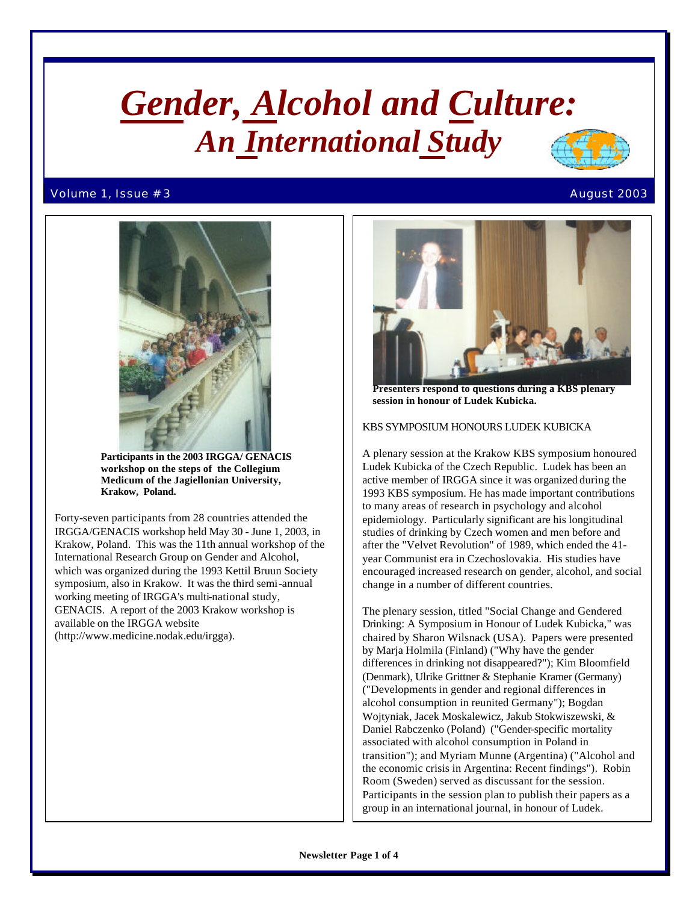# *Gender, Alcohol and Culture: An International Study*

### Volume 1, Issue # 3  $\hbox{August 2003}$





 **Participants in the 2003 IRGGA/ GENACIS workshop on the steps of the Collegium Medicum of the Jagiellonian University, Krakow, Poland.**

Forty-seven participants from 28 countries attended the IRGGA/GENACIS workshop held May 30 - June 1, 2003, in Krakow, Poland. This was the 11th annual workshop of the International Research Group on Gender and Alcohol, which was organized during the 1993 Kettil Bruun Society symposium, also in Krakow. It was the third semi-annual working meeting of IRGGA's multi-national study, GENACIS. A report of the 2003 Krakow workshop is available on the IRGGA website (http://www.medicine.nodak.edu/irgga).



 **Presenters respond to questions during a KBS plenary session in honour of Ludek Kubicka.**

## KBS SYMPOSIUM HONOURS LUDEK KUBICKA

A plenary session at the Krakow KBS symposium honoured Ludek Kubicka of the Czech Republic. Ludek has been an active member of IRGGA since it was organized during the 1993 KBS symposium. He has made important contributions to many areas of research in psychology and alcohol epidemiology. Particularly significant are his longitudinal studies of drinking by Czech women and men before and after the "Velvet Revolution" of 1989, which ended the 41 year Communist era in Czechoslovakia. His studies have encouraged increased research on gender, alcohol, and social change in a number of different countries.

The plenary session, titled "Social Change and Gendered Drinking: A Symposium in Honour of Ludek Kubicka," was chaired by Sharon Wilsnack (USA). Papers were presented by Marja Holmila (Finland) ("Why have the gender differences in drinking not disappeared?"); Kim Bloomfield (Denmark), Ulrike Grittner & Stephanie Kramer (Germany) ("Developments in gender and regional differences in alcohol consumption in reunited Germany"); Bogdan Wojtyniak, Jacek Moskalewicz, Jakub Stokwiszewski, & Daniel Rabczenko (Poland) ("Gender-specific mortality associated with alcohol consumption in Poland in transition"); and Myriam Munne (Argentina) ("Alcohol and the economic crisis in Argentina: Recent findings"). Robin Room (Sweden) served as discussant for the session. Participants in the session plan to publish their papers as a group in an international journal, in honour of Ludek.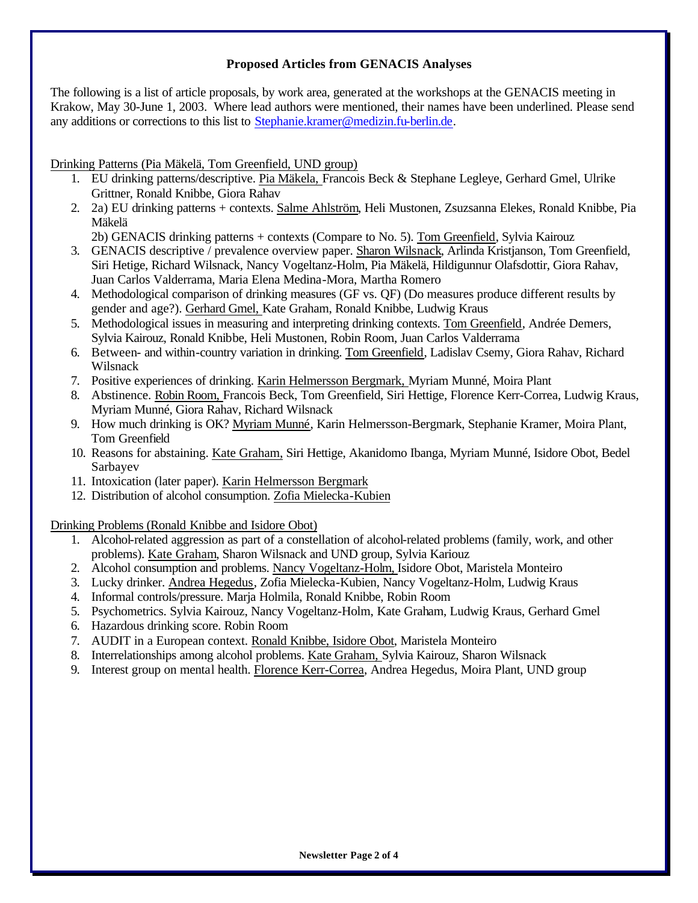# **Proposed Articles from GENACIS Analyses**

The following is a list of article proposals, by work area, generated at the workshops at the GENACIS meeting in Krakow, May 30-June 1, 2003. Where lead authors were mentioned, their names have been underlined. Please send any additions or corrections to this list to Stephanie.kramer@medizin.fu-berlin.de.

# Drinking Patterns (Pia Mäkelä, Tom Greenfield, UND group)

- 1. EU drinking patterns/descriptive. Pia Mäkela, Francois Beck & Stephane Legleye, Gerhard Gmel, Ulrike Grittner, Ronald Knibbe, Giora Rahav
- 2. 2a) EU drinking patterns + contexts. Salme Ahlström, Heli Mustonen, Zsuzsanna Elekes, Ronald Knibbe, Pia Mäkelä

2b) GENACIS drinking patterns + contexts (Compare to No. 5). Tom Greenfield, Sylvia Kairouz

- 3. GENACIS descriptive / prevalence overview paper. Sharon Wilsnack, Arlinda Kristjanson, Tom Greenfield, Siri Hetige, Richard Wilsnack, Nancy Vogeltanz-Holm, Pia Mäkelä, Hildigunnur Olafsdottir, Giora Rahav, Juan Carlos Valderrama, Maria Elena Medina-Mora, Martha Romero
- 4. Methodological comparison of drinking measures (GF vs. QF) (Do measures produce different results by gender and age?). Gerhard Gmel, Kate Graham, Ronald Knibbe, Ludwig Kraus
- 5. Methodological issues in measuring and interpreting drinking contexts. Tom Greenfield, Andrée Demers, Sylvia Kairouz, Ronald Knibbe, Heli Mustonen, Robin Room, Juan Carlos Valderrama
- 6. Between- and within-country variation in drinking. Tom Greenfield, Ladislav Csemy, Giora Rahav, Richard Wilsnack
- 7. Positive experiences of drinking. Karin Helmersson Bergmark, Myriam Munné, Moira Plant
- 8. Abstinence. Robin Room, Francois Beck, Tom Greenfield, Siri Hettige, Florence Kerr-Correa, Ludwig Kraus, Myriam Munné, Giora Rahav, Richard Wilsnack
- 9. How much drinking is OK? Myriam Munné, Karin Helmersson-Bergmark, Stephanie Kramer, Moira Plant, Tom Greenfield
- 10. Reasons for abstaining. Kate Graham, Siri Hettige, Akanidomo Ibanga, Myriam Munné, Isidore Obot, Bedel Sarbayev
- 11. Intoxication (later paper). Karin Helmersson Bergmark
- 12. Distribution of alcohol consumption. Zofia Mielecka-Kubien

Drinking Problems (Ronald Knibbe and Isidore Obot)

- 1. Alcohol-related aggression as part of a constellation of alcohol-related problems (family, work, and other problems). Kate Graham, Sharon Wilsnack and UND group, Sylvia Kariouz
- 2. Alcohol consumption and problems. Nancy Vogeltanz-Holm, Isidore Obot, Maristela Monteiro
- 3. Lucky drinker. Andrea Hegedus, Zofia Mielecka-Kubien, Nancy Vogeltanz-Holm, Ludwig Kraus
- 4. Informal controls/pressure. Marja Holmila, Ronald Knibbe, Robin Room
- 5. Psychometrics. Sylvia Kairouz, Nancy Vogeltanz-Holm, Kate Graham, Ludwig Kraus, Gerhard Gmel
- 6. Hazardous drinking score. Robin Room
- 7. AUDIT in a European context. Ronald Knibbe, Isidore Obot, Maristela Monteiro
- 8. Interrelationships among alcohol problems. Kate Graham, Sylvia Kairouz, Sharon Wilsnack
- 9. Interest group on mental health. Florence Kerr-Correa, Andrea Hegedus, Moira Plant, UND group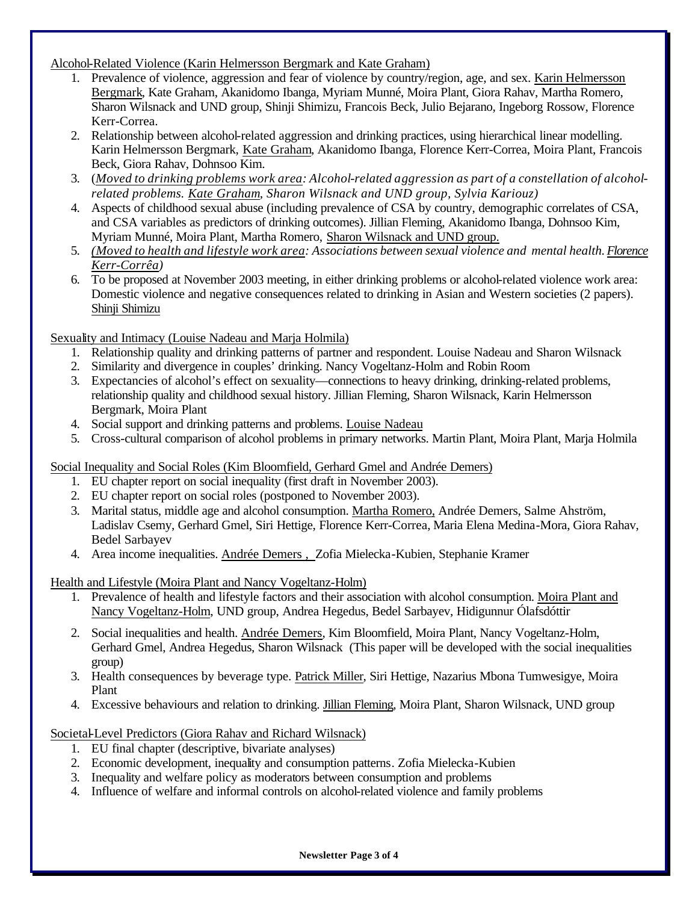Alcohol-Related Violence (Karin Helmersson Bergmark and Kate Graham)

- 1. Prevalence of violence, aggression and fear of violence by country/region, age, and sex. Karin Helmersson Bergmark, Kate Graham, Akanidomo Ibanga, Myriam Munné, Moira Plant, Giora Rahav, Martha Romero, Sharon Wilsnack and UND group, Shinji Shimizu, Francois Beck, Julio Bejarano, Ingeborg Rossow, Florence Kerr-Correa.
- 2. Relationship between alcohol-related aggression and drinking practices, using hierarchical linear modelling. Karin Helmersson Bergmark, Kate Graham, Akanidomo Ibanga, Florence Kerr-Correa, Moira Plant, Francois Beck, Giora Rahav, Dohnsoo Kim.
- 3. (*Moved to drinking problems work area: Alcohol-related aggression as part of a constellation of alcoholrelated problems. Kate Graham, Sharon Wilsnack and UND group, Sylvia Kariouz)*
- 4. Aspects of childhood sexual abuse (including prevalence of CSA by country, demographic correlates of CSA, and CSA variables as predictors of drinking outcomes). Jillian Fleming, Akanidomo Ibanga, Dohnsoo Kim, Myriam Munné, Moira Plant, Martha Romero, Sharon Wilsnack and UND group.
- 5. *(Moved to health and lifestyle work area: Associations between sexual violence and mental health. Florence Kerr-Corrêa)*
- 6. To be proposed at November 2003 meeting, in either drinking problems or alcohol-related violence work area: Domestic violence and negative consequences related to drinking in Asian and Western societies (2 papers). Shinji Shimizu

Sexuality and Intimacy (Louise Nadeau and Marja Holmila)

- 1. Relationship quality and drinking patterns of partner and respondent. Louise Nadeau and Sharon Wilsnack
- 2. Similarity and divergence in couples' drinking. Nancy Vogeltanz-Holm and Robin Room
- 3. Expectancies of alcohol's effect on sexuality—connections to heavy drinking, drinking-related problems, relationship quality and childhood sexual history. Jillian Fleming, Sharon Wilsnack, Karin Helmersson Bergmark, Moira Plant
- 4. Social support and drinking patterns and problems. Louise Nadeau
- 5. Cross-cultural comparison of alcohol problems in primary networks. Martin Plant, Moira Plant, Marja Holmila

Social Inequality and Social Roles (Kim Bloomfield, Gerhard Gmel and Andrée Demers)

- 1. EU chapter report on social inequality (first draft in November 2003).
- 2. EU chapter report on social roles (postponed to November 2003).
- 3. Marital status, middle age and alcohol consumption. Martha Romero, Andrée Demers, Salme Ahström, Ladislav Csemy, Gerhard Gmel, Siri Hettige, Florence Kerr-Correa, Maria Elena Medina-Mora, Giora Rahav, Bedel Sarbayev
- 4. Area income inequalities. Andrée Demers , Zofia Mielecka-Kubien, Stephanie Kramer

Health and Lifestyle (Moira Plant and Nancy Vogeltanz-Holm)

- 1. Prevalence of health and lifestyle factors and their association with alcohol consumption. Moira Plant and Nancy Vogeltanz-Holm, UND group, Andrea Hegedus, Bedel Sarbayev, Hidigunnur Ólafsdóttir
- 2. Social inequalities and health. Andrée Demers, Kim Bloomfield, Moira Plant, Nancy Vogeltanz-Holm, Gerhard Gmel, Andrea Hegedus, Sharon Wilsnack (This paper will be developed with the social inequalities group)
- 3. Health consequences by beverage type. Patrick Miller, Siri Hettige, Nazarius Mbona Tumwesigye, Moira Plant
- 4. Excessive behaviours and relation to drinking. Jillian Fleming, Moira Plant, Sharon Wilsnack, UND group

Societal-Level Predictors (Giora Rahav and Richard Wilsnack)

- 1. EU final chapter (descriptive, bivariate analyses)
- 2. Economic development, inequality and consumption patterns. Zofia Mielecka-Kubien
- 3. Inequality and welfare policy as moderators between consumption and problems
- 4. Influence of welfare and informal controls on alcohol-related violence and family problems